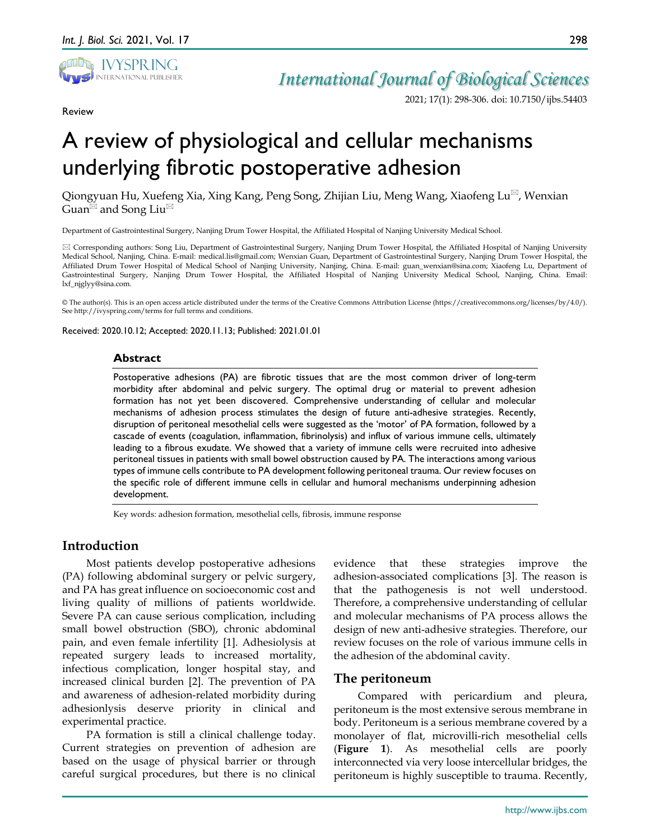

Review

*International Journal of Biological Sciences*

2021; 17(1): 298-306. doi: 10.7150/ijbs.54403

# A review of physiological and cellular mechanisms underlying fibrotic postoperative adhesion

Qiongyuan Hu, Xuefeng Xia, Xing Kang, Peng Song, Zhijian Liu, Meng Wang, Xiaofeng Lu<sup>⊠</sup>, Wenxian Guan<sup> $\boxtimes$ </sup> and Song Liu $\boxtimes$ 

Department of Gastrointestinal Surgery, Nanjing Drum Tower Hospital, the Affiliated Hospital of Nanjing University Medical School.

 Corresponding authors: Song Liu, Department of Gastrointestinal Surgery, Nanjing Drum Tower Hospital, the Affiliated Hospital of Nanjing University Medical School, Nanjing, China. E-mail: medical.lis@gmail.com; Wenxian Guan, Department of Gastrointestinal Surgery, Nanjing Drum Tower Hospital, the Affiliated Drum Tower Hospital of Medical School of Nanjing University, Nanjing, China. E-mail: guan\_wenxian@sina.com; Xiaofeng Lu, Department of Gastrointestinal Surgery, Nanjing Drum Tower Hospital, the Affiliated Hospital of Nanjing University Medical School, Nanjing, China. Email: lxf\_njglyy@sina.com.

© The author(s). This is an open access article distributed under the terms of the Creative Commons Attribution License (https://creativecommons.org/licenses/by/4.0/). See http://ivyspring.com/terms for full terms and conditions.

Received: 2020.10.12; Accepted: 2020.11.13; Published: 2021.01.01

### **Abstract**

Postoperative adhesions (PA) are fibrotic tissues that are the most common driver of long-term morbidity after abdominal and pelvic surgery. The optimal drug or material to prevent adhesion formation has not yet been discovered. Comprehensive understanding of cellular and molecular mechanisms of adhesion process stimulates the design of future anti-adhesive strategies. Recently, disruption of peritoneal mesothelial cells were suggested as the 'motor' of PA formation, followed by a cascade of events (coagulation, inflammation, fibrinolysis) and influx of various immune cells, ultimately leading to a fibrous exudate. We showed that a variety of immune cells were recruited into adhesive peritoneal tissues in patients with small bowel obstruction caused by PA. The interactions among various types of immune cells contribute to PA development following peritoneal trauma. Our review focuses on the specific role of different immune cells in cellular and humoral mechanisms underpinning adhesion development.

Key words: adhesion formation, mesothelial cells, fibrosis, immune response

# **Introduction**

Most patients develop postoperative adhesions (PA) following abdominal surgery or pelvic surgery, and PA has great influence on socioeconomic cost and living quality of millions of patients worldwide. Severe PA can cause serious complication, including small bowel obstruction (SBO), chronic abdominal pain, and even female infertility [1]. Adhesiolysis at repeated surgery leads to increased mortality, infectious complication, longer hospital stay, and increased clinical burden [2]. The prevention of PA and awareness of adhesion-related morbidity during adhesionlysis deserve priority in clinical and experimental practice.

PA formation is still a clinical challenge today. Current strategies on prevention of adhesion are based on the usage of physical barrier or through careful surgical procedures, but there is no clinical evidence that these strategies improve the adhesion-associated complications [3]. The reason is that the pathogenesis is not well understood. Therefore, a comprehensive understanding of cellular and molecular mechanisms of PA process allows the design of new anti-adhesive strategies. Therefore, our review focuses on the role of various immune cells in the adhesion of the abdominal cavity.

# **The peritoneum**

Compared with pericardium and pleura, peritoneum is the most extensive serous membrane in body. Peritoneum is a serious membrane covered by a monolayer of flat, microvilli-rich mesothelial cells (**Figure 1**). As mesothelial cells are poorly interconnected via very loose intercellular bridges, the peritoneum is highly susceptible to trauma. Recently,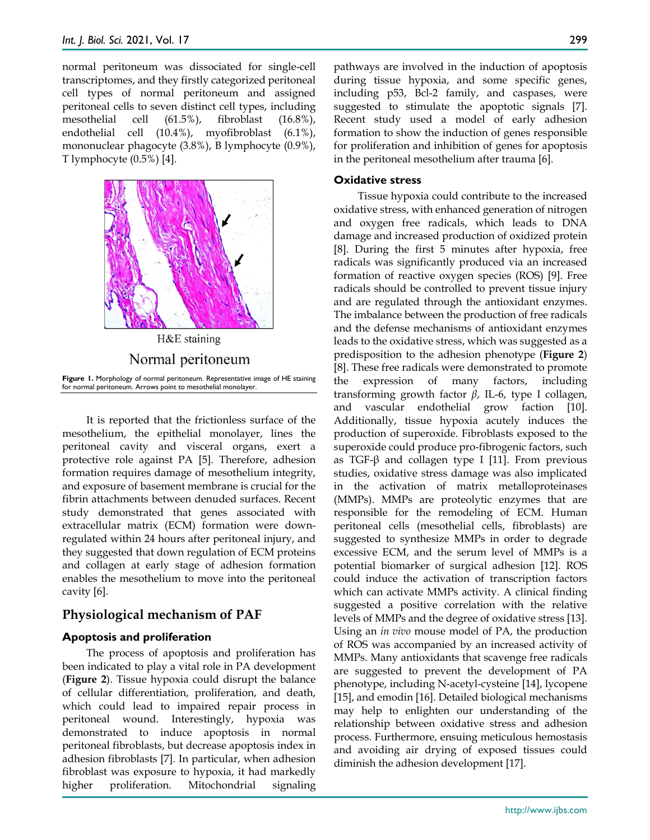normal peritoneum was dissociated for single-cell transcriptomes, and they firstly categorized peritoneal cell types of normal peritoneum and assigned peritoneal cells to seven distinct cell types, including mesothelial cell (61.5%), fibroblast (16.8%), endothelial cell (10.4%), myofibroblast (6.1%), mononuclear phagocyte (3.8%), B lymphocyte (0.9%), T lymphocyte (0.5%) [4].



It is reported that the frictionless surface of the mesothelium, the epithelial monolayer, lines the peritoneal cavity and visceral organs, exert a protective role against PA [5]. Therefore, adhesion formation requires damage of mesothelium integrity, and exposure of basement membrane is crucial for the fibrin attachments between denuded surfaces. Recent study demonstrated that genes associated with extracellular matrix (ECM) formation were downregulated within 24 hours after peritoneal injury, and they suggested that down regulation of ECM proteins and collagen at early stage of adhesion formation enables the mesothelium to move into the peritoneal cavity [6].

# **Physiological mechanism of PAF**

# **Apoptosis and proliferation**

The process of apoptosis and proliferation has been indicated to play a vital role in PA development (**Figure 2**). Tissue hypoxia could disrupt the balance of cellular differentiation, proliferation, and death, which could lead to impaired repair process in peritoneal wound. Interestingly, hypoxia was demonstrated to induce apoptosis in normal peritoneal fibroblasts, but decrease apoptosis index in adhesion fibroblasts [7]. In particular, when adhesion fibroblast was exposure to hypoxia, it had markedly higher proliferation. Mitochondrial signaling

pathways are involved in the induction of apoptosis during tissue hypoxia, and some specific genes, including p53, Bcl-2 family, and caspases, were suggested to stimulate the apoptotic signals [7]. Recent study used a model of early adhesion formation to show the induction of genes responsible for proliferation and inhibition of genes for apoptosis in the peritoneal mesothelium after trauma [6].

#### **Oxidative stress**

Tissue hypoxia could contribute to the increased oxidative stress, with enhanced generation of nitrogen and oxygen free radicals, which leads to DNA damage and increased production of oxidized protein [8]. During the first 5 minutes after hypoxia, free radicals was significantly produced via an increased formation of reactive oxygen species (ROS) [9]. Free radicals should be controlled to prevent tissue injury and are regulated through the antioxidant enzymes. The imbalance between the production of free radicals and the defense mechanisms of antioxidant enzymes leads to the oxidative stress, which was suggested as a predisposition to the adhesion phenotype (**Figure 2**) [8]. These free radicals were demonstrated to promote the expression of many factors, including transforming growth factor *β*, IL-6, type I collagen, and vascular endothelial grow faction [10]. Additionally, tissue hypoxia acutely induces the production of superoxide. Fibroblasts exposed to the superoxide could produce pro-fibrogenic factors, such as TGF-β and collagen type I [11]. From previous studies, oxidative stress damage was also implicated in the activation of matrix metalloproteinases (MMPs). MMPs are proteolytic enzymes that are responsible for the remodeling of ECM. Human peritoneal cells (mesothelial cells, fibroblasts) are suggested to synthesize MMPs in order to degrade excessive ECM, and the serum level of MMPs is a potential biomarker of surgical adhesion [12]. ROS could induce the activation of transcription factors which can activate MMPs activity. A clinical finding suggested a positive correlation with the relative levels of MMPs and the degree of oxidative stress [13]. Using an *in vivo* mouse model of PA, the production of ROS was accompanied by an increased activity of MMPs. Many antioxidants that scavenge free radicals are suggested to prevent the development of PA phenotype, including N-acetyl-cysteine [14], lycopene [15], and emodin [16]. Detailed biological mechanisms may help to enlighten our understanding of the relationship between oxidative stress and adhesion process. Furthermore, ensuing meticulous hemostasis and avoiding air drying of exposed tissues could diminish the adhesion development [17].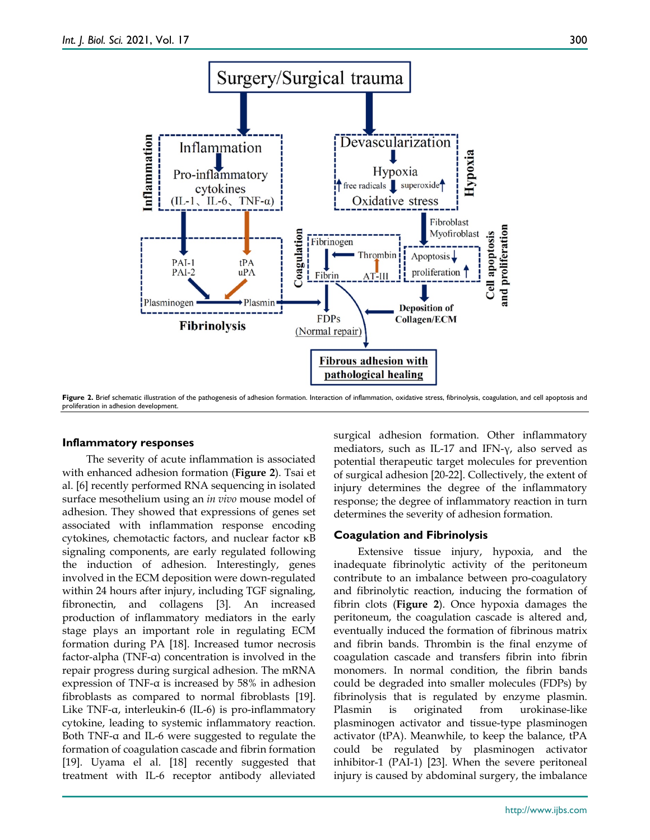

Figure 2. Brief schematic illustration of the pathogenesis of adhesion formation. Interaction of inflammation, oxidative stress, fibrinolysis, coagulation, and cell apoptosis and proliferation in adhesion development.

#### **Inflammatory responses**

The severity of acute inflammation is associated with enhanced adhesion formation (**Figure 2**). Tsai et al. [6] recently performed RNA sequencing in isolated surface mesothelium using an *in vivo* mouse model of adhesion. They showed that expressions of genes set associated with inflammation response encoding cytokines, chemotactic factors, and nuclear factor κB signaling components, are early regulated following the induction of adhesion. Interestingly, genes involved in the ECM deposition were down-regulated within 24 hours after injury, including TGF signaling, fibronectin, and collagens [3]. An increased production of inflammatory mediators in the early stage plays an important role in regulating ECM formation during PA [18]. Increased tumor necrosis factor-alpha (TNF-α) concentration is involved in the repair progress during surgical adhesion. The mRNA expression of TNF-α is increased by 58% in adhesion fibroblasts as compared to normal fibroblasts [19]. Like TNF-α, interleukin-6 (IL-6) is pro-inflammatory cytokine, leading to systemic inflammatory reaction. Both TNF-α and IL-6 were suggested to regulate the formation of coagulation cascade and fibrin formation [19]. Uyama el al. [18] recently suggested that treatment with IL-6 receptor antibody alleviated

surgical adhesion formation. Other inflammatory mediators, such as IL-17 and IFN-γ, also served as potential therapeutic target molecules for prevention of surgical adhesion [20-22]. Collectively, the extent of injury determines the degree of the inflammatory response; the degree of inflammatory reaction in turn determines the severity of adhesion formation.

# **Coagulation and Fibrinolysis**

Extensive tissue injury, hypoxia, and the inadequate fibrinolytic activity of the peritoneum contribute to an imbalance between pro-coagulatory and fibrinolytic reaction, inducing the formation of fibrin clots (**Figure 2**). Once hypoxia damages the peritoneum, the coagulation cascade is altered and, eventually induced the formation of fibrinous matrix and fibrin bands. Thrombin is the final enzyme of coagulation cascade and transfers fibrin into fibrin monomers. In normal condition, the fibrin bands could be degraded into smaller molecules (FDPs) by fibrinolysis that is regulated by enzyme plasmin. Plasmin is originated from urokinase-like plasminogen activator and tissue-type plasminogen activator (tPA). Meanwhile, to keep the balance, tPA could be regulated by plasminogen activator inhibitor-1 (PAI-1) [23]. When the severe peritoneal injury is caused by abdominal surgery, the imbalance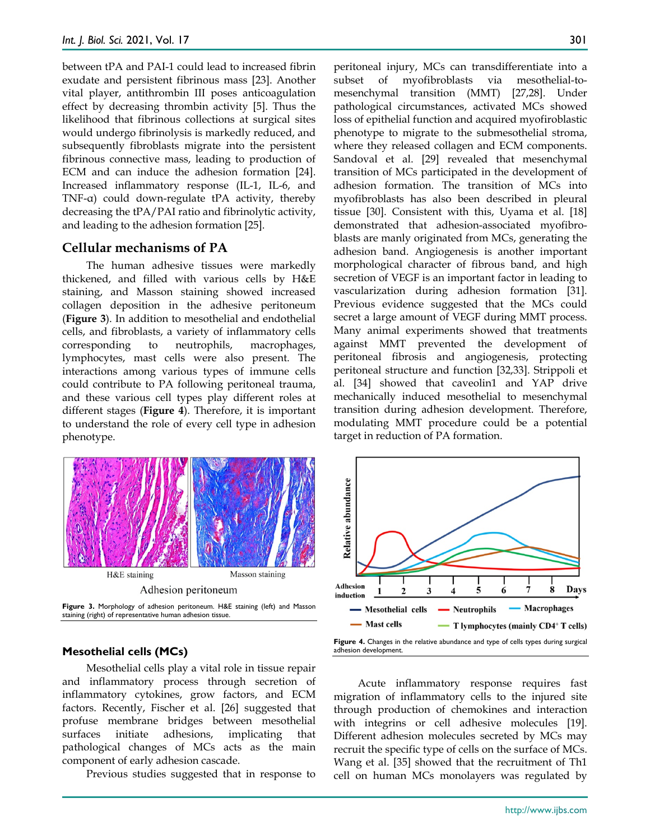between tPA and PAI-1 could lead to increased fibrin exudate and persistent fibrinous mass [23]. Another vital player, antithrombin III poses anticoagulation effect by decreasing thrombin activity [5]. Thus the likelihood that fibrinous collections at surgical sites would undergo fibrinolysis is markedly reduced, and subsequently fibroblasts migrate into the persistent fibrinous connective mass, leading to production of ECM and can induce the adhesion formation [24]. Increased inflammatory response (IL-1, IL-6, and TNF-α) could down-regulate tPA activity, thereby decreasing the tPA/PAI ratio and fibrinolytic activity, and leading to the adhesion formation [25].

#### **Cellular mechanisms of PA**

The human adhesive tissues were markedly thickened, and filled with various cells by H&E staining, and Masson staining showed increased collagen deposition in the adhesive peritoneum (**Figure 3**). In addition to mesothelial and endothelial cells, and fibroblasts, a variety of inflammatory cells corresponding to neutrophils, macrophages, lymphocytes, mast cells were also present. The interactions among various types of immune cells could contribute to PA following peritoneal trauma, and these various cell types play different roles at different stages (**Figure 4**). Therefore, it is important to understand the role of every cell type in adhesion phenotype.



target in reduction of PA formation.

peritoneal injury, MCs can transdifferentiate into a subset of myofibroblasts via mesothelial-to-



staining (right) of representative human adhesion tissue.

#### **Mesothelial cells (MCs)**

Mesothelial cells play a vital role in tissue repair and inflammatory process through secretion of inflammatory cytokines, grow factors, and ECM factors. Recently, Fischer et al. [26] suggested that profuse membrane bridges between mesothelial surfaces initiate adhesions, implicating that pathological changes of MCs acts as the main component of early adhesion cascade.

Previous studies suggested that in response to



Acute inflammatory response requires fast migration of inflammatory cells to the injured site through production of chemokines and interaction with integrins or cell adhesive molecules [19]. Different adhesion molecules secreted by MCs may recruit the specific type of cells on the surface of MCs. Wang et al. [35] showed that the recruitment of Th1 cell on human MCs monolayers was regulated by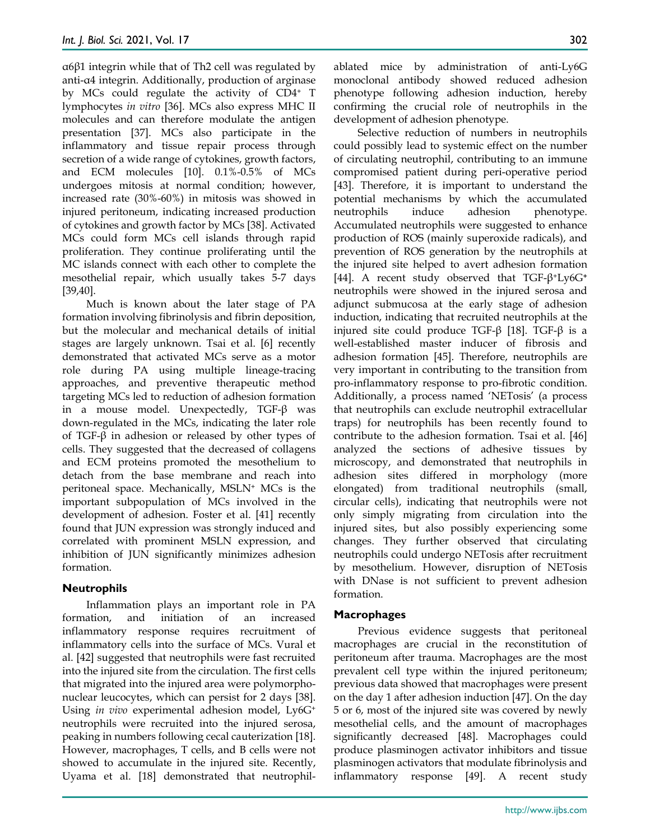α6β1 integrin while that of Th2 cell was regulated by anti-α4 integrin. Additionally, production of arginase by MCs could regulate the activity of CD4+ T lymphocytes *in vitro* [36]. MCs also express MHC II molecules and can therefore modulate the antigen presentation [37]. MCs also participate in the inflammatory and tissue repair process through secretion of a wide range of cytokines, growth factors, and ECM molecules [10]. 0.1%-0.5% of MCs undergoes mitosis at normal condition; however, increased rate (30%-60%) in mitosis was showed in injured peritoneum, indicating increased production of cytokines and growth factor by MCs [38]. Activated MCs could form MCs cell islands through rapid proliferation. They continue proliferating until the MC islands connect with each other to complete the mesothelial repair, which usually takes 5-7 days [39,40].

Much is known about the later stage of PA formation involving fibrinolysis and fibrin deposition, but the molecular and mechanical details of initial stages are largely unknown. Tsai et al. [6] recently demonstrated that activated MCs serve as a motor role during PA using multiple lineage-tracing approaches, and preventive therapeutic method targeting MCs led to reduction of adhesion formation in a mouse model. Unexpectedly, TGF-β was down-regulated in the MCs, indicating the later role of TGF-β in adhesion or released by other types of cells. They suggested that the decreased of collagens and ECM proteins promoted the mesothelium to detach from the base membrane and reach into peritoneal space. Mechanically, MSLN+ MCs is the important subpopulation of MCs involved in the development of adhesion. Foster et al. [41] recently found that JUN expression was strongly induced and correlated with prominent MSLN expression, and inhibition of JUN significantly minimizes adhesion formation.

#### **Neutrophils**

Inflammation plays an important role in PA formation, and initiation of an increased inflammatory response requires recruitment of inflammatory cells into the surface of MCs. Vural et al. [42] suggested that neutrophils were fast recruited into the injured site from the circulation. The first cells that migrated into the injured area were polymorphonuclear leucocytes, which can persist for 2 days [38]. Using *in vivo* experimental adhesion model, Ly6G<sup>+</sup> neutrophils were recruited into the injured serosa, peaking in numbers following cecal cauterization [18]. However, macrophages, T cells, and B cells were not showed to accumulate in the injured site. Recently, Uyama et al. [18] demonstrated that neutrophilablated mice by administration of anti-Ly6G monoclonal antibody showed reduced adhesion phenotype following adhesion induction, hereby confirming the crucial role of neutrophils in the development of adhesion phenotype.

Selective reduction of numbers in neutrophils could possibly lead to systemic effect on the number of circulating neutrophil, contributing to an immune compromised patient during peri-operative period [43]. Therefore, it is important to understand the potential mechanisms by which the accumulated neutrophils induce adhesion phenotype. Accumulated neutrophils were suggested to enhance production of ROS (mainly superoxide radicals), and prevention of ROS generation by the neutrophils at the injured site helped to avert adhesion formation [44]. A recent study observed that TGF-β+Ly6G**<sup>+</sup>** neutrophils were showed in the injured serosa and adjunct submucosa at the early stage of adhesion induction, indicating that recruited neutrophils at the injured site could produce TGF-β [18]. TGF-β is a well-established master inducer of fibrosis and adhesion formation [45]. Therefore, neutrophils are very important in contributing to the transition from pro-inflammatory response to pro-fibrotic condition. Additionally, a process named 'NETosis' (a process that neutrophils can exclude neutrophil extracellular traps) for neutrophils has been recently found to contribute to the adhesion formation. Tsai et al. [46] analyzed the sections of adhesive tissues by microscopy, and demonstrated that neutrophils in adhesion sites differed in morphology (more elongated) from traditional neutrophils (small, circular cells), indicating that neutrophils were not only simply migrating from circulation into the injured sites, but also possibly experiencing some changes. They further observed that circulating neutrophils could undergo NETosis after recruitment by mesothelium. However, disruption of NETosis with DNase is not sufficient to prevent adhesion formation.

#### **Macrophages**

Previous evidence suggests that peritoneal macrophages are crucial in the reconstitution of peritoneum after trauma. Macrophages are the most prevalent cell type within the injured peritoneum; previous data showed that macrophages were present on the day 1 after adhesion induction [47]. On the day 5 or 6, most of the injured site was covered by newly mesothelial cells, and the amount of macrophages significantly decreased [48]. Macrophages could produce plasminogen activator inhibitors and tissue plasminogen activators that modulate fibrinolysis and inflammatory response [49]. A recent study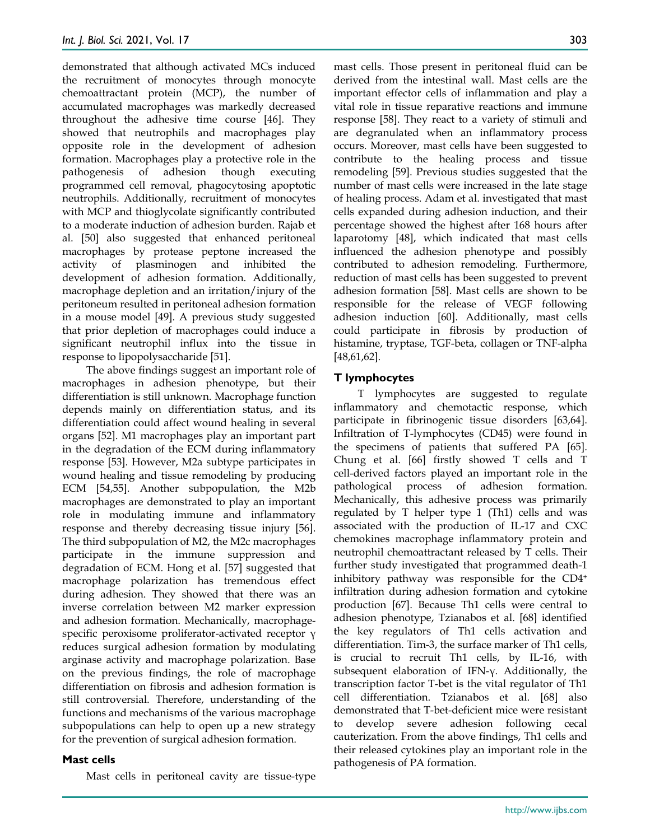demonstrated that although activated MCs induced the recruitment of monocytes through monocyte chemoattractant protein (MCP), the number of accumulated macrophages was markedly decreased throughout the adhesive time course [46]. They showed that neutrophils and macrophages play opposite role in the development of adhesion formation. Macrophages play a protective role in the pathogenesis of adhesion though executing programmed cell removal, phagocytosing apoptotic neutrophils. Additionally, recruitment of monocytes with MCP and thioglycolate significantly contributed to a moderate induction of adhesion burden. Rajab et al. [50] also suggested that enhanced peritoneal macrophages by protease peptone increased the activity of plasminogen and inhibited the development of adhesion formation. Additionally, macrophage depletion and an irritation/injury of the peritoneum resulted in peritoneal adhesion formation in a mouse model [49]. A previous study suggested that prior depletion of macrophages could induce a significant neutrophil influx into the tissue in response to lipopolysaccharide [51].

The above findings suggest an important role of macrophages in adhesion phenotype, but their differentiation is still unknown. Macrophage function depends mainly on differentiation status, and its differentiation could affect wound healing in several organs [52]. M1 macrophages play an important part in the degradation of the ECM during inflammatory response [53]. However, M2a subtype participates in wound healing and tissue remodeling by producing ECM [54,55]. Another subpopulation, the M2b macrophages are demonstrated to play an important role in modulating immune and inflammatory response and thereby decreasing tissue injury [56]. The third subpopulation of M2, the M2c macrophages participate in the immune suppression and degradation of ECM. Hong et al. [57] suggested that macrophage polarization has tremendous effect during adhesion. They showed that there was an inverse correlation between M2 marker expression and adhesion formation. Mechanically, macrophagespecific peroxisome proliferator-activated receptor γ reduces surgical adhesion formation by modulating arginase activity and macrophage polarization. Base on the previous findings, the role of macrophage differentiation on fibrosis and adhesion formation is still controversial. Therefore, understanding of the functions and mechanisms of the various macrophage subpopulations can help to open up a new strategy for the prevention of surgical adhesion formation.

#### **Mast cells**

Mast cells in peritoneal cavity are tissue-type

mast cells. Those present in peritoneal fluid can be derived from the intestinal wall. Mast cells are the important effector cells of inflammation and play a vital role in tissue reparative reactions and immune response [58]. They react to a variety of stimuli and are degranulated when an inflammatory process occurs. Moreover, mast cells have been suggested to contribute to the healing process and tissue remodeling [59]. Previous studies suggested that the number of mast cells were increased in the late stage of healing process. Adam et al. investigated that mast cells expanded during adhesion induction, and their percentage showed the highest after 168 hours after laparotomy [48], which indicated that mast cells influenced the adhesion phenotype and possibly contributed to adhesion remodeling. Furthermore, reduction of mast cells has been suggested to prevent adhesion formation [58]. Mast cells are shown to be responsible for the release of VEGF following adhesion induction [60]. Additionally, mast cells could participate in fibrosis by production of histamine, tryptase, TGF-beta, collagen or TNF-alpha [48,61,62].

### **T lymphocytes**

T lymphocytes are suggested to regulate inflammatory and chemotactic response, which participate in fibrinogenic tissue disorders [63,64]. Infiltration of T-lymphocytes (CD45) were found in the specimens of patients that suffered PA [65]. Chung et al. [66] firstly showed T cells and T cell-derived factors played an important role in the pathological process of adhesion formation. Mechanically, this adhesive process was primarily regulated by T helper type 1 (Th1) cells and was associated with the production of IL-17 and CXC chemokines macrophage inflammatory protein and neutrophil chemoattractant released by T cells. Their further study investigated that programmed death-1 inhibitory pathway was responsible for the CD4+ infiltration during adhesion formation and cytokine production [67]. Because Th1 cells were central to adhesion phenotype, Tzianabos et al. [68] identified the key regulators of Th1 cells activation and differentiation. Tim-3, the surface marker of Th1 cells, is crucial to recruit Th1 cells, by IL-16, with subsequent elaboration of IFN-γ. Additionally, the transcription factor T-bet is the vital regulator of Th1 cell differentiation. Tzianabos et al. [68] also demonstrated that T-bet-deficient mice were resistant to develop severe adhesion following cecal cauterization. From the above findings, Th1 cells and their released cytokines play an important role in the pathogenesis of PA formation.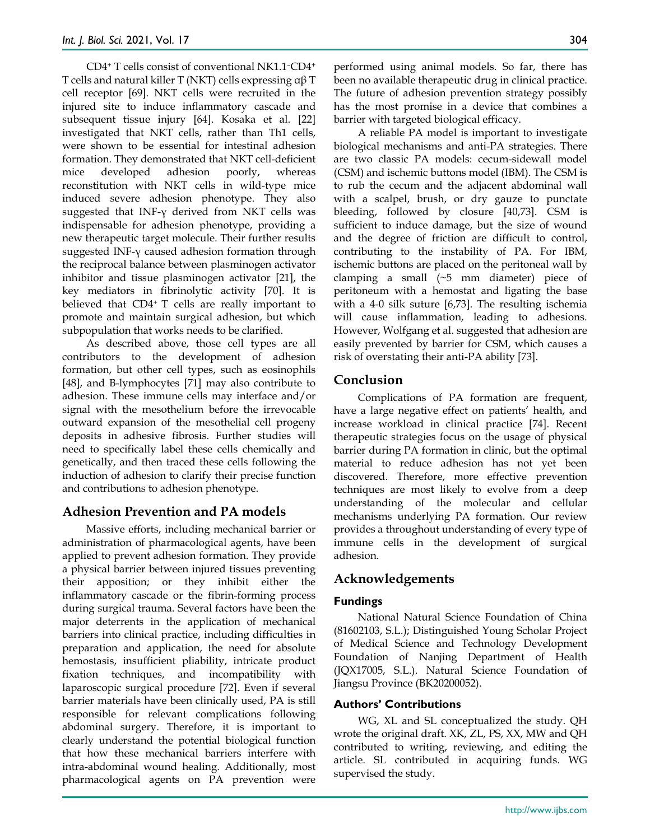CD4+ T cells consist of conventional NK1.1–CD4+ T cells and natural killer T (NKT) cells expressing αβ T cell receptor [69]. NKT cells were recruited in the injured site to induce inflammatory cascade and subsequent tissue injury [64]. Kosaka et al. [22] investigated that NKT cells, rather than Th1 cells, were shown to be essential for intestinal adhesion formation. They demonstrated that NKT cell-deficient mice developed adhesion poorly, whereas reconstitution with NKT cells in wild-type mice induced severe adhesion phenotype. They also suggested that INF- $\gamma$  derived from NKT cells was indispensable for adhesion phenotype, providing a new therapeutic target molecule. Their further results suggested INF-γ caused adhesion formation through the reciprocal balance between plasminogen activator inhibitor and tissue plasminogen activator [21], the key mediators in fibrinolytic activity [70]. It is believed that CD4+ T cells are really important to promote and maintain surgical adhesion, but which subpopulation that works needs to be clarified.

As described above, those cell types are all contributors to the development of adhesion formation, but other cell types, such as eosinophils [48], and B-lymphocytes [71] may also contribute to adhesion. These immune cells may interface and/or signal with the mesothelium before the irrevocable outward expansion of the mesothelial cell progeny deposits in adhesive fibrosis. Further studies will need to specifically label these cells chemically and genetically, and then traced these cells following the induction of adhesion to clarify their precise function and contributions to adhesion phenotype.

# **Adhesion Prevention and PA models**

Massive efforts, including mechanical barrier or administration of pharmacological agents, have been applied to prevent adhesion formation. They provide a physical barrier between injured tissues preventing their apposition; or they inhibit either the inflammatory cascade or the fibrin-forming process during surgical trauma. Several factors have been the major deterrents in the application of mechanical barriers into clinical practice, including difficulties in preparation and application, the need for absolute hemostasis, insufficient pliability, intricate product fixation techniques, and incompatibility with laparoscopic surgical procedure [72]. Even if several barrier materials have been clinically used, PA is still responsible for relevant complications following abdominal surgery. Therefore, it is important to clearly understand the potential biological function that how these mechanical barriers interfere with intra-abdominal wound healing. Additionally, most pharmacological agents on PA prevention were

performed using animal models. So far, there has been no available therapeutic drug in clinical practice. The future of adhesion prevention strategy possibly has the most promise in a device that combines a barrier with targeted biological efficacy.

A reliable PA model is important to investigate biological mechanisms and anti-PA strategies. There are two classic PA models: cecum-sidewall model (CSM) and ischemic buttons model (IBM). The CSM is to rub the cecum and the adjacent abdominal wall with a scalpel, brush, or dry gauze to punctate bleeding, followed by closure [40,73]. CSM is sufficient to induce damage, but the size of wound and the degree of friction are difficult to control, contributing to the instability of PA. For IBM, ischemic buttons are placed on the peritoneal wall by clamping a small (~5 mm diameter) piece of peritoneum with a hemostat and ligating the base with a 4-0 silk suture [6,73]. The resulting ischemia will cause inflammation, leading to adhesions. However, Wolfgang et al. suggested that adhesion are easily prevented by barrier for CSM, which causes a risk of overstating their anti-PA ability [73].

# **Conclusion**

Complications of PA formation are frequent, have a large negative effect on patients' health, and increase workload in clinical practice [74]. Recent therapeutic strategies focus on the usage of physical barrier during PA formation in clinic, but the optimal material to reduce adhesion has not yet been discovered. Therefore, more effective prevention techniques are most likely to evolve from a deep understanding of the molecular and cellular mechanisms underlying PA formation. Our review provides a throughout understanding of every type of immune cells in the development of surgical adhesion.

# **Acknowledgements**

# **Fundings**

National Natural Science Foundation of China (81602103, S.L.); Distinguished Young Scholar Project of Medical Science and Technology Development Foundation of Nanjing Department of Health (JQX17005, S.L.). Natural Science Foundation of Jiangsu Province (BK20200052).

# **Authors' Contributions**

WG, XL and SL conceptualized the study. QH wrote the original draft. XK, ZL, PS, XX, MW and QH contributed to writing, reviewing, and editing the article. SL contributed in acquiring funds. WG supervised the study.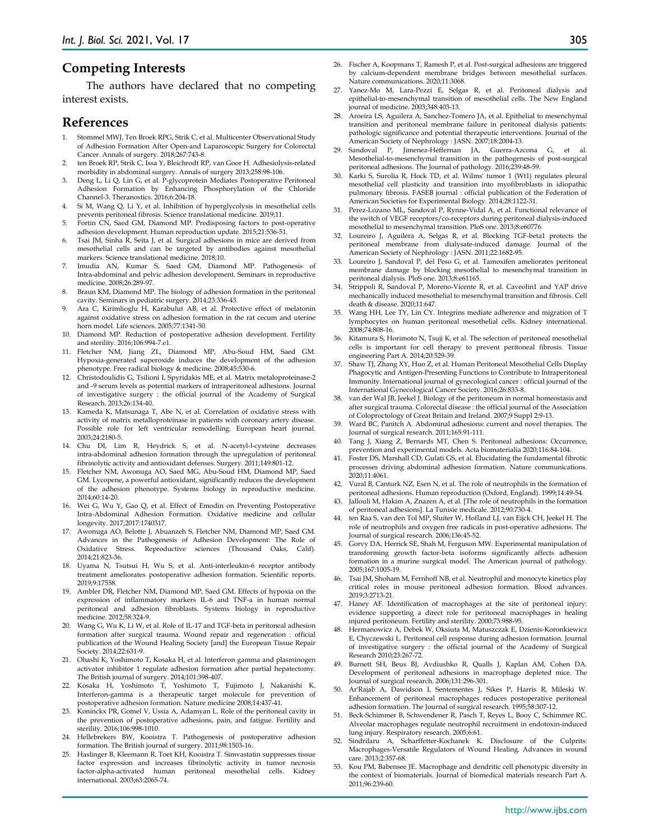# **Competing Interests**

The authors have declared that no competing interest exists.

### **References**

- 1. Stommel MWJ, Ten Broek RPG, Strik C, et al. Multicenter Observational Study of Adhesion Formation After Open-and Laparoscopic Surgery for Colorectal Cancer. Annals of surgery. 2018;267:743-8.
- 2. ten Broek RP, Strik C, Issa Y, Bleichrodt RP, van Goor H. Adhesiolysis-related morbidity in abdominal surgery. Annals of surgery 2013;258:98-106.
- 3. Deng L, Li Q, Lin G, et al. P-glycoprotein Mediates Postoperative Peritoneal Adhesion Formation by Enhancing Phosphorylation of the Chloride Channel-3. Theranostics. 2016;6:204-18.
- 4. Si M, Wang Q, Li Y, et al. Inhibition of hyperglycolysis in mesothelial cells prevents peritoneal fibrosis. Science translational medicine. 2019;11.
- Fortin CN, Saed GM, Diamond MP. Predisposing factors to post-operative adhesion development. Human reproduction update. 2015;21:536-51.
- Tsai JM, Sinha R, Seita J, et al. Surgical adhesions in mice are derived from mesothelial cells and can be targeted by antibodies against mesothelial markers. Science translational medicine. 2018;10.
- 7. Imudia AN, Kumar S, Saed GM, Diamond MP. Pathogenesis of Intra-abdominal and pelvic adhesion development. Seminars in reproductive medicine. 2008;26:289-97.
- 8. Braun KM, Diamond MP. The biology of adhesion formation in the peritoneal cavity. Seminars in pediatric surgery. 2014;23:336-43.
- 9. Ara C, Kirimlioglu H, Karabulut AB, et al. Protective effect of melatonin against oxidative stress on adhesion formation in the rat cecum and uterine horn model. Life sciences. 2005;77:1341-50.
- 10. Diamond MP. Reduction of postoperative adhesion development. Fertility and sterility. 2016;106:994-7.e1.
- Fletcher NM, Jiang ZL, Diamond MP, Abu-Soud HM, Saed GM. Hypoxia-generated superoxide induces the development of the adhesion phenotype. Free radical biology & medicine. 2008;45:530-6.
- 12. Christodoulidis G, Tsilioni I, Spyridakis ME, et al. Matrix metaloproteinase-2 and -9 serum levels as potential markers of intraperitoneal adhesions. Journal of investigative surgery : the official journal of the Academy of Surgical Research. 2013;26:134-40.
- 13. Kameda K, Matsunaga T, Abe N, et al. Correlation of oxidative stress with activity of matrix metalloproteinase in patients with coronary artery disease. Possible role for left ventricular remodelling. European heart journal. 2003;24:2180-5.
- 14. Chu DI, Lim R, Heydrick S, et al. N-acetyl-l-cysteine decreases intra-abdominal adhesion formation through the upregulation of peritoneal fibrinolytic activity and antioxidant defenses. Surgery. 2011;149:801-12.
- 15. Fletcher NM, Awonuga AO, Saed MG, Abu-Soud HM, Diamond MP, Saed GM. Lycopene, a powerful antioxidant, significantly reduces the development of the adhesion phenotype. Systems biology in reproductive medicine. 2014;60:14-20.
- Wei G, Wu Y, Gao Q, et al. Effect of Emodin on Preventing Postoperative Intra-Abdominal Adhesion Formation. Oxidative medicine and cellular longevity. 2017;2017:1740317.
- 17. Awonuga AO, Belotte J, Abuanzeh S, Fletcher NM, Diamond MP, Saed GM. Advances in the Pathogenesis of Adhesion Development: The Role of Stress. Reproductive sciences (Thousand Oaks, Calif). 2014;21:823-36.
- 18. Uyama N, Tsutsui H, Wu S, et al. Anti-interleukin-6 receptor antibody treatment ameliorates postoperative adhesion formation. Scientific reports. 2019;9:17558.
- 19. Ambler DR, Fletcher NM, Diamond MP, Saed GM. Effects of hypoxia on the expression of inflammatory markers IL-6 and TNF-a in human normal peritoneal and adhesion fibroblasts. Systems biology in reproductive medicine. 2012;58:324-9.
- 20. Wang G, Wu K, Li W, et al. Role of IL-17 and TGF-beta in peritoneal adhesion formation after surgical trauma. Wound repair and regeneration : official publication of the Wound Healing Society [and] the European Tissue Repair Society. 2014;22:631-9.
- 21. Ohashi K, Yoshimoto T, Kosaka H, et al. Interferon gamma and plasminogen activator inhibitor 1 regulate adhesion formation after partial hepatectomy. The British journal of surgery. 2014;101:398-407.
- 22. Kosaka H, Yoshimoto T, Yoshimoto T, Fujimoto J, Nakanishi K. Interferon-gamma is a therapeutic target molecule for prevention of postoperative adhesion formation. Nature medicine 2008;14:437-41.
- 23. Koninckx PR, Gomel V, Ussia A, Adamyan L. Role of the peritoneal cavity in the prevention of postoperative adhesions, pain, and fatigue. Fertility and sterility. 2016;106:998-1010.
- 24. Hellebrekers BW, Kooistra T. Pathogenesis of postoperative adhesion formation. The British journal of surgery. 2011;98:1503-16.
- 25. Haslinger B, Kleemann R, Toet KH, Kooistra T. Simvastatin suppresses tissue factor expression and increases fibrinolytic activity in tumor necrosis factor-alpha-activated human peritoneal mesothelial cells. Kidney international. 2003;63:2065-74.
- 26. Fischer A, Koopmans T, Ramesh P, et al. Post-surgical adhesions are triggered by calcium-dependent membrane bridges between mesothelial surfaces. Nature communications. 2020;11:3068.
- 27. Yanez-Mo M, Lara-Pezzi E, Selgas R, et al. Peritoneal dialysis and epithelial-to-mesenchymal transition of mesothelial cells. The New England journal of medicine. 2003;348:403-13.
- 28. Aroeira LS, Aguilera A, Sanchez-Tomero JA, et al. Epithelial to mesenchymal transition and peritoneal membrane failure in peritoneal dialysis patients: pathologic significance and potential therapeutic interventions. Journal of the American Society of Nephrology : JASN. 2007;18:2004-13.
- 29. Sandoval P, Jimenez-Heffernan JA, Guerra-Azcona G, et al. Mesothelial-to-mesenchymal transition in the pathogenesis of post-surgical peritoneal adhesions. The Journal of pathology. 2016;239:48-59.
- 30. Karki S, Surolia R, Hock TD, et al. Wilms' tumor 1 (Wt1) regulates pleural mesothelial cell plasticity and transition into myofibroblasts in idiopathic pulmonary fibrosis. FASEB journal : official publication of the Federation of American Societies for Experimental Biology. 2014;28:1122-31.
- 31. Perez-Lozano ML, Sandoval P, Rynne-Vidal A, et al. Functional relevance of the switch of VEGF receptors/co-receptors during peritoneal dialysis-induced mesothelial to mesenchymal transition. PloS one. 2013;8:e60776.
- 32. Loureiro J, Aguilera A, Selgas R, et al. Blocking TGF-beta1 protects the peritoneal membrane from dialysate-induced damage. Journal of the American Society of Nephrology : JASN. 2011;22:1682-95.
- 33. Loureiro J, Sandoval P, del Peso G, et al. Tamoxifen ameliorates peritoneal membrane damage by blocking mesothelial to mesenchymal transition in peritoneal dialysis. PloS one. 2013;8:e61165.
- 34. Strippoli R, Sandoval P, Moreno-Vicente R, et al. Caveolin1 and YAP drive mechanically induced mesothelial to mesenchymal transition and fibrosis. Cell death & disease. 2020;11:647.
- Wang HH, Lee TY, Lin CY. Integrins mediate adherence and migration of T lymphocytes on human peritoneal mesothelial cells. Kidney international. 2008;74:808-16.
- 36. Kitamura S, Horimoto N, Tsuji K, et al. The selection of peritoneal mesothelial cells is important for cell therapy to prevent peritoneal fibrosis. Tissue engineering Part A. 2014;20:529-39.
- 37. Shaw TJ, Zhang XY, Huo Z, et al. Human Peritoneal Mesothelial Cells Display Phagocytic and Antigen-Presenting Functions to Contribute to Intraperitoneal Immunity. International journal of gynecological cancer : official journal of the International Gynecological Cancer Society. 2016;26:833-8.
- 38. van der Wal JB, Jeekel J. Biology of the peritoneum in normal homeostasis and after surgical trauma. Colorectal disease : the official journal of the Association of Coloproctology of Great Britain and Ireland. 2007;9 Suppl 2:9-13.
- 39. Ward BC, Panitch A. Abdominal adhesions: current and novel therapies. The Journal of surgical research. 2011;165:91-111.
- 40. Tang J, Xiang Z, Bernards MT, Chen S. Peritoneal adhesions: Occurrence, prevention and experimental models. Acta biomaterialia 2020;116:84-104.
- 41. Foster DS, Marshall CD, Gulati GS, et al. Elucidating the fundamental fibrotic processes driving abdominal adhesion formation. Nature communications. 2020;11:4061.
- 42. Vural B, Canturk NZ, Esen N, et al. The role of neutrophils in the formation of peritoneal adhesions. Human reproduction (Oxford, England). 1999;14:49-54.
- 43. Jallouli M, Hakim A, Znazen A, et al. [The role of neutrophils in the formation of peritoneal adhesions]. La Tunisie medicale. 2012;90:730-4.
- 44. ten Raa S, van den Tol MP, Sluiter W, Hofland LJ, van Eijck CH, Jeekel H. The role of neutrophils and oxygen free radicals in post-operative adhesions. The Journal of surgical research. 2006;136:45-52.
- 45. Gorvy DA, Herrick SE, Shah M, Ferguson MW. Experimental manipulation of transforming growth factor-beta isoforms significantly affects adhesion formation in a murine surgical model. The American journal of pathology. 2005;167:1005-19.
- 46. Tsai JM, Shoham M, Fernhoff NB, et al. Neutrophil and monocyte kinetics play critical roles in mouse peritoneal adhesion formation. Blood advances. 2019;3:2713-21.
- 47. Haney AF. Identification of macrophages at the site of peritoneal injury: evidence supporting a direct role for peritoneal macrophages in healing injured peritoneum. Fertility and sterility. 2000;73:988-95.
- 48. Hermanowicz A, Debek W, Oksiuta M, Matuszczak E, Dzienis-Koronkiewicz E, Chyczewski L. Peritoneal cell response during adhesion formation. Journal of investigative surgery : the official journal of the Academy of Surgical Research 2010;23:267-72.
- 49. Burnett SH, Beus BJ, Avdiushko R, Qualls J, Kaplan AM, Cohen DA. Development of peritoneal adhesions in macrophage depleted mice. The Journal of surgical research. 2006;131:296-301.
- 50. Ar'Rajab A, Dawidson I, Sentementes J, Sikes P, Harris R, Mileski W. Enhancement of peritoneal macrophages reduces postoperative peritoneal adhesion formation. The Journal of surgical research. 1995;58:307-12.
- 51. Beck-Schimmer B, Schwendener R, Pasch T, Reyes L, Booy C, Schimmer RC. Alveolar macrophages regulate neutrophil recruitment in endotoxin-induced lung injury. Respiratory research. 2005;6:61.
- 52. Sindrilaru A, Scharffetter-Kochanek K. Disclosure of the Culprits: Macrophages-Versatile Regulators of Wound Healing. Advances in wound care. 2013;2:357-68.
- 53. Kou PM, Babensee JE. Macrophage and dendritic cell phenotypic diversity in the context of biomaterials. Journal of biomedical materials research Part A. 2011;96:239-60.